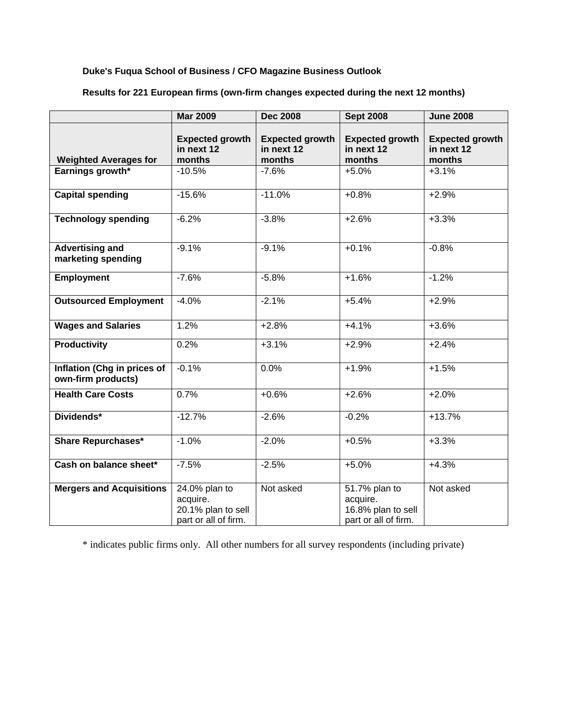## **Duke's Fuqua School of Business / CFO Magazine Business Outlook**

|                                                   | <b>Mar 2009</b>                                                         | <b>Dec 2008</b>                                | <b>Sept 2008</b>                                                        | <b>June 2008</b>                               |
|---------------------------------------------------|-------------------------------------------------------------------------|------------------------------------------------|-------------------------------------------------------------------------|------------------------------------------------|
| <b>Weighted Averages for</b>                      | <b>Expected growth</b><br>in next 12<br>months                          | <b>Expected growth</b><br>in next 12<br>months | <b>Expected growth</b><br>in next 12<br>months                          | <b>Expected growth</b><br>in next 12<br>months |
| Earnings growth*                                  | $-10.5%$                                                                | $-7.6%$                                        | $+5.0%$                                                                 | $+3.1%$                                        |
| <b>Capital spending</b>                           | $-15.6%$                                                                | $-11.0%$                                       | $+0.8%$                                                                 | $+2.9%$                                        |
| <b>Technology spending</b>                        | $-6.2%$                                                                 | $-3.8%$                                        | $+2.6%$                                                                 | $+3.3%$                                        |
| <b>Advertising and</b><br>marketing spending      | $-9.1%$                                                                 | $-9.1%$                                        | $+0.1%$                                                                 | $-0.8%$                                        |
| <b>Employment</b>                                 | $-7.6%$                                                                 | $-5.8%$                                        | $+1.6%$                                                                 | $-1.2%$                                        |
| <b>Outsourced Employment</b>                      | $-4.0%$                                                                 | $-2.1%$                                        | $+5.4%$                                                                 | $+2.9%$                                        |
| <b>Wages and Salaries</b>                         | 1.2%                                                                    | $+2.8%$                                        | $+4.1%$                                                                 | $+3.6%$                                        |
| <b>Productivity</b>                               | 0.2%                                                                    | $+3.1%$                                        | $+2.9%$                                                                 | $+2.4%$                                        |
| Inflation (Chg in prices of<br>own-firm products) | $-0.1%$                                                                 | 0.0%                                           | $+1.9%$                                                                 | $+1.5%$                                        |
| <b>Health Care Costs</b>                          | 0.7%                                                                    | $+0.6%$                                        | $+2.6%$                                                                 | $+2.0%$                                        |
| Dividends*                                        | $-12.7%$                                                                | $-2.6%$                                        | $-0.2%$                                                                 | $+13.7%$                                       |
| <b>Share Repurchases*</b>                         | $-1.0%$                                                                 | $-2.0%$                                        | $+0.5%$                                                                 | $+3.3%$                                        |
| Cash on balance sheet*                            | $-7.5%$                                                                 | $-2.5%$                                        | $+5.0%$                                                                 | $+4.3%$                                        |
| <b>Mergers and Acquisitions</b>                   | 24.0% plan to<br>acquire.<br>20.1% plan to sell<br>part or all of firm. | Not asked                                      | 51.7% plan to<br>acquire.<br>16.8% plan to sell<br>part or all of firm. | Not asked                                      |

**Results for 221 European firms (own-firm changes expected during the next 12 months)** 

\* indicates public firms only. All other numbers for all survey respondents (including private)